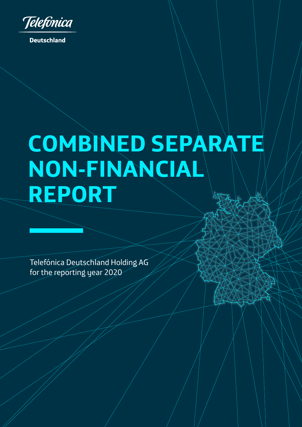

**Deutschland** 

# **COMBINED SEPARATE NON-FINANCIAL REPORT**

Telefónica Deutschland Holding AG for the reporting year 2020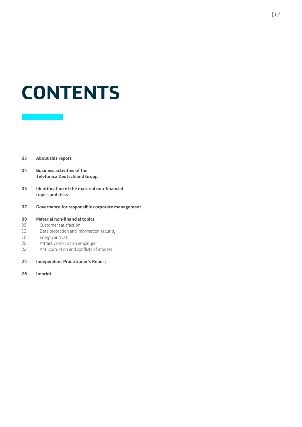# **CONTENTS**

#### **[03 About this report](#page-2-0)**

- **[04 Business activities of the](#page-3-0)  [Telefónica Deutschland Group](#page-3-0)**
- **[05 Identification of the material non-financial](#page-4-0)  [topics and risks](#page-4-0)**
- **[07 Governance for responsible corporate management](#page-6-0)**

#### **[09 Material non-financial topics](#page-8-0)**

- [09 Customer satisfaction](#page-8-0)
- [13 Data protection and information security](#page-12-0)
- $16$  Energy and  $CO<sub>2</sub>$
- [20 Attractiveness as an employer](#page-19-0)
- [22 Anti-corruption and conflicts of interest](#page-21-0)
- **[24 Independent Practitioner's Report](#page-23-0)**
- **[26 Imprint](#page-25-0)**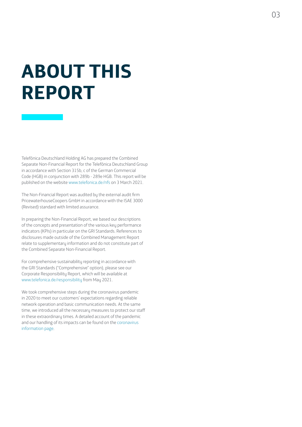# <span id="page-2-0"></span>**ABOUT THIS REPORT**

Telefónica Deutschland Holding AG has prepared the Combined Separate Non-Financial Report for the Telefónica Deutschland Group in accordance with Section 315b, c of the German Commercial Code (HGB) in conjunction with 289b - 289e HGB. This report will be published on the website [www.telefonica.de/nfs](http://www.telefonica.de/nfs) on 3 March 2021.

The Non-Financial Report was audited by the external audit firm PricewaterhouseCoopers GmbH in accordance with the ISAE 3000 (Revised) standard with limited assurance.

In preparing the Non-Financial Report, we based our descriptions of the concepts and presentation of the various key performance indicators (KPIs) in particular on the GRI Standards. References to disclosures made outside of the Combined Management Report relate to supplementary information and do not constitute part of the Combined Separate Non-Financial Report.

For comprehensive sustainability reporting in accordance with the GRI Standards ("Comprehensive" option), please see our Corporate Responsibility Report, which will be available at [www.telefonica.de/responsibility](http://www.telefonica.de/responsibility) from May 2021.

We took comprehensive steps during the coronavirus pandemic in 2020 to meet our customers' expectations regarding reliable network operation and basic communication needs. At the same time, we introduced all the necessary measures to protect our staff in these extraordinary times. A detailed account of the pandemic and our handling of its impacts can be found on the [coronavirus](https://www.telefonica.de/infoseite-telefonica-o2-corona.html)  [information page](https://www.telefonica.de/infoseite-telefonica-o2-corona.html).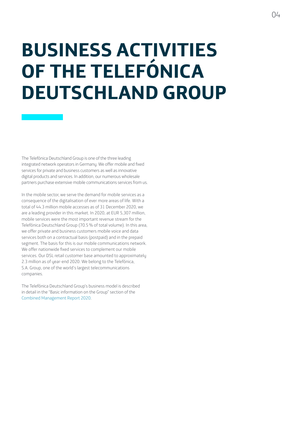# <span id="page-3-0"></span>**BUSINESS ACTIVITIES OF THE TELEFÓNICA DEUTSCHLAND GROUP**

The Telefónica Deutschland Group is one of the three leading integrated network operators in Germany. We offer mobile and fixed services for private and business customers as well as innovative digital products and services. In addition, our numerous wholesale partners purchase extensive mobile communications services from us.

In the mobile sector, we serve the demand for mobile services as a consequence of the digitalisation of ever more areas of life. With a total of 44.3 million mobile accesses as of 31 December 2020, we are a leading provider in this market. In 2020, at EUR 5,307 million, mobile services were the most important revenue stream for the Telefónica Deutschland Group (70.5% of total volume). In this area, we offer private and business customers mobile voice and data services both on a contractual basis (postpaid) and in the prepaid segment. The basis for this is our mobile communications network. We offer nationwide fixed services to complement our mobile services. Our DSL retail customer base amounted to approximately 2.3 million as of year-end 2020. We belong to the Telefónica, S.A. Group, one of the world's largest telecommunications companies.

The Telefónica Deutschland Group's business model is described in detail in the "Basic information on the Group" section of the [Combined Management Report 2020.](https://www.telefonica.de/annualreport)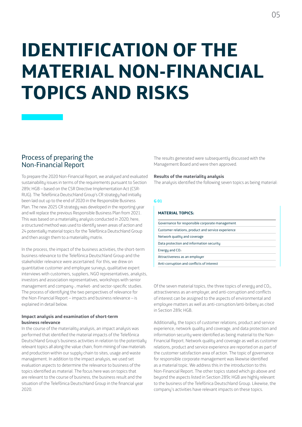# <span id="page-4-0"></span>**IDENTIFICATION OF THE MATERIAL NON-FINANCIAL TOPICS AND RISKS**

## Process of preparing the Non-Financial Report

To prepare the 2020 Non-Financial Report, we analysed and evaluated sustainability issues in terms of the requirements pursuant to Section 289c HGB – based on the CSR Directive Implementation Act (CSR-RUG). The Telefónica Deutschland Group's CR strategy had initially been laid out up to the end of 2020 in the Responsible Business Plan. The new 2025 CR strategy was developed in the reporting year and will replace the previous Responsible Business Plan from 2021. This was based on a materiality analysis conducted in 2020; here, a structured method was used to identify seven areas of action and 24 potentially material topics for the Telefónica Deutschland Group and then assign them to a materiality matrix.

In the process, the impact of the business activities, the short-term business relevance to the Telefónica Deutschland Group and the stakeholder relevance were ascertained. For this, we drew on quantitative customer and employee surveys, qualitative expert interviews with customers, suppliers, NGO representatives, analysts, investors and association representatives, workshops with senior management and company-, market- and sector-specific studies. The process of identifuing the two perspectives of relevance for the Non-Financial Report – impacts and business relevance – is explained in detail below.

#### **Impact analysis and examination of short-term business relevance**

In the course of the materiality analysis, an impact analysis was performed that identified the material impacts of the Telefónica Deutschland Group's business activities in relation to the potentially relevant topics all along the value chain, from mining of raw materials and production within our supply chain to sites, usage and waste management. In addition to the impact analysis, we used set evaluation aspects to determine the relevance to business of the topics identified as material. The focus here was on topics that are relevant to the course of business, the business result and the situation of the Telefónica Deutschland Group in the financial year 2020.

The results generated were subsequently discussed with the Management Board and were then approved.

#### **Results of the materiality analysis**

The analysis identified the following seven topics as being material:

#### **G 01**

| <b>MATERIAL TOPICS:</b>                            |
|----------------------------------------------------|
| Governance for responsible corporate management    |
| Customer relations, product and service experience |
| Network quality and coverage                       |
| Data protection and information security           |
| Energy and $CO2$                                   |
| Attractiveness as an employer                      |
| Anti-corruption and conflicts of interest          |

Of the seven material topics, the three topics of energy and  $CO<sub>2</sub>$ , attractiveness as an employer, and anti-corruption and conflicts of interest can be assigned to the aspects of environmental and employee matters as well as anti-corruption/anti-bribery as cited in Section 289c HGB.

Additionally, the topics of customer relations, product and service experience, network quality and coverage, and data protection and information security were identified as being material to the Non-Financial Report. Network quality and coverage as well as customer relations, product and service experience are reported on as part of the customer satisfaction area of action. The topic of governance for responsible corporate management was likewise identified as a material topic. We address this in the introduction to this Non-Financial Report. The other topics stated which go above and beyond the aspects listed in Section 289c HGB are highly relevant to the business of the Telefónica Deutschland Group. Likewise, the company's activities have relevant impacts on these topics.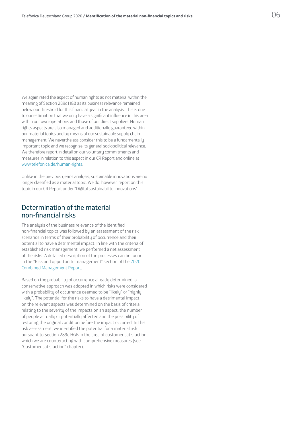We again rated the aspect of human rights as not material within the meaning of Section 289c HGB as its business relevance remained below our threshold for this financial year in the analysis. This is due to our estimation that we only have a significant influence in this area within our own operations and those of our direct suppliers. Human rights aspects are also managed and additionally guaranteed within our material topics and by means of our sustainable supply chain management. We nevertheless consider this to be a fundamentally important topic and we recognise its general sociopolitical relevance. We therefore report in detail on our voluntary commitments and measures in relation to this aspect in our CR Report and online at [www.telefonica.de/human-rights](http://www.telefonica.de/human-rights).

Unlike in the previous year's analysis, sustainable innovations are no longer classified as a material topic. We do, however, report on this topic in our CR Report under "Digital sustainability innovations".

## Determination of the material non-financial risks

The analysis of the business relevance of the identified non-financial topics was followed by an assessment of the risk scenarios in terms of their probability of occurrence and their potential to have a detrimental impact. In line with the criteria of established risk management, we performed a net assessment of the risks. A detailed description of the processes can be found in the "Risk and opportunity management" section of the [2020](https://www.telefonica.de/annualreport)  [Combined Management Report.](https://www.telefonica.de/annualreport)

Based on the probability of occurrence already determined, a conservative approach was adopted in which risks were considered with a probability of occurrence deemed to be "likely" or "highly likely". The potential for the risks to have a detrimental impact on the relevant aspects was determined on the basis of criteria relating to the severity of the impacts on an aspect, the number of people actually or potentially affected and the possibility of restoring the original condition before the impact occurred. In this risk assessment, we identified the potential for a material risk pursuant to Section 289c HGB in the area of customer satisfaction, which we are counteracting with comprehensive measures (see "Customer satisfaction" chapter).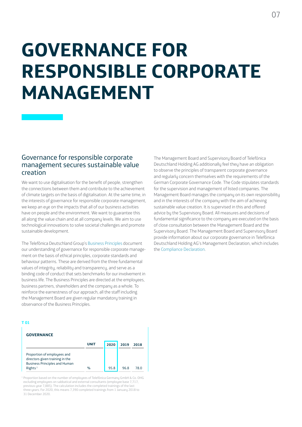# <span id="page-6-0"></span>**GOVERNANCE FOR RESPONSIBLE CORPORATE MANAGEMENT**

## Governance for responsible corporate management secures sustainable value creation

We want to use digitalisation for the benefit of people, strengthen the connections between them and contribute to the achievement of climate targets on the basis of digitalisation. At the same time, in the interests of governance for responsible corporate management, we keep an eye on the impacts that all of our business activities have on people and the environment. We want to guarantee this all along the value chain and at all company levels. We aim to use technological innovations to solve societal challenges and promote sustainable development.

The Telefónica Deutschland Group's [Business Principles](https://www.telefonica.de/geschaeftsgrundsaetze) document our understanding of governance for responsible corporate management on the basis of ethical principles, corporate standards and behaviour patterns. These are derived from the three fundamental values of integrity, reliability and transparency, and serve as a binding code of conduct that sets benchmarks for our involvement in business life. The Business Principles are directed at the employees, business partners, shareholders and the company as a whole. To reinforce the earnestness of our approach, all the staff including the Management Board are given regular mandatory training in observance of the Business Principles.

#### **T 01**

| <b>GOVERNANCE</b>                                                                                      |      |      |      |      |
|--------------------------------------------------------------------------------------------------------|------|------|------|------|
|                                                                                                        | UNIT | 2020 | 2019 | 2018 |
| Proportion of employees and<br>directors given training in the<br><b>Business Principles and Human</b> |      |      |      |      |
| Rights <sup>1</sup>                                                                                    | $\%$ | 95.8 | 96.8 | 78 N |

<sup>1</sup> Proportion based on the number of employees of Telefónica Germany GmbH & Co. OHG excluding employees on sabbatical and external consultants (employee base 7,717, previous year 7,885). The calculation includes the completed trainings of the last three years. For 2020, this means 7,390 completed trainings from 1 January 2018 to 31 December 2020.

The Management Board and Supervisory Board of Telefónica Deutschland Holding AG additionally feel they have an obligation to observe the principles of transparent corporate governance and regularly concern themselves with the requirements of the German Corporate Governance Code. The Code stipulates standards for the supervision and management of listed companies. The Management Board manages the company on its own responsibility and in the interests of the company with the aim of achieving sustainable value creation. It is supervised in this and offered advice by the Supervisory Board. All measures and decisions of fundamental significance to the company are executed on the basis of close consultation between the Management Board and the Supervisory Board. The Management Board and Supervisory Board provide information about our corporate governance in Telefónica Deutschland Holding AG's Management Declaration, which includes the [Compliance Declaration.](https://www.telefonica.de/declaration-of-compliance)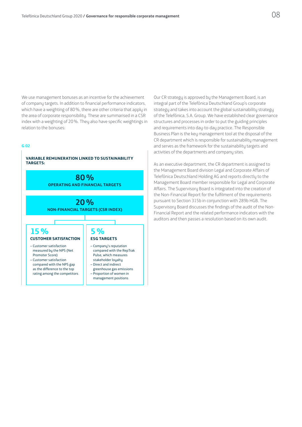We use management bonuses as an incentive for the achievement of company targets. In addition to financial performance indicators, which have a weighting of 80%, there are other criteria that apply in the area of corporate responsibility. These are summarised in a CSR index with a weighting of 20%. They also have specific weightings in relation to the bonuses:

#### **G 02**



Our CR strategy is approved by the Management Board, is an integral part of the Telefónica Deutschland Group's corporate strategy and takes into account the global sustainability strategy of the Telefónica, S.A. Group. We have established clear governance structures and processes in order to put the guiding principles and requirements into day-to-day practice. The Responsible Business Plan is the key management tool at the disposal of the CR department which is responsible for sustainability management and serves as the framework for the sustainability targets and activities of the departments and company sites.

As an executive department, the CR department is assigned to the Management Board division Legal and Corporate Affairs of Telefónica Deutschland Holding AG and reports directly to the Management Board member responsible for Legal and Corporate Affairs. The Supervisory Board is integrated into the creation of the Non-Financial Report for the fulfilment of the requirements pursuant to Section 315b in conjunction with 289b HGB. The Supervisory Board discusses the findings of the audit of the Non-Financial Report and the related performance indicators with the auditors and then passes a resolution based on its own audit.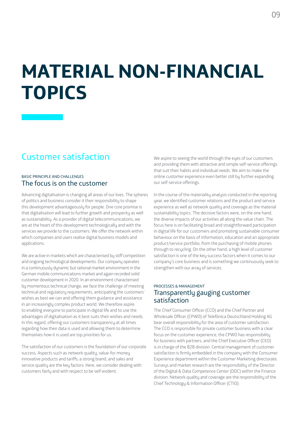## <span id="page-8-0"></span>**MATERIAL NON-FINANCIAL TOPICS**

## Customer satisfaction

### BASIC PRINCIPLE AND CHALLENGES The focus is on the customer

Advancing digitalisation is changing all areas of our lives. The spheres of politics and business consider it their responsibility to shape this development advantageously for people. One core promise is that digitalisation will lead to further growth and prosperity as well as sustainability. As a provider of digital telecommunications, we are at the heart of this development technologically and with the services we provide to the customers. We offer the network within which companies and users realise digital business models and applications.

We are active in markets which are characterised by stiff competition and ongoing technological developments. Our company operates in a continuously dynamic but rational market environment in the German mobile communications market and again recorded solid customer development in 2020. In an environment characterised by momentous technical change, we face the challenge of meeting technical and regulatory requirements, anticipating the customers' wishes as best we can and offering them guidance and assistance in an increasingly complex product world. We therefore aspire to enabling everyone to participate in digital life and to use the advantages of digitalisation as it best suits their wishes and needs. In this regard, offering our customers transparency at all times regarding how their data is used and allowing them to determine themselves how it is used are top priorities for us.

The satisfaction of our customers is the foundation of our corporate success. Aspects such as network quality, value-for-money innovative products and tariffs, a strong brand, and sales and service quality are the key factors. Here, we consider dealing with customers fairly and with respect to be self-evident.

We aspire to seeing the world through the eyes of our customers and providing them with attractive and simple self-service offerings that suit their habits and individual needs. We aim to make the online customer experience even better still by further expanding our self-service offerings.

In the course of the materiality analysis conducted in the reporting year, we identified customer relations and the product and service experience as well as network quality and coverage as the material sustainability topics. The decisive factors were, on the one hand, the diverse impacts of our activities all along the value chain. The focus here is on facilitating broad and straightforward participation in digital life for our customers and promoting sustainable consumer behaviour on the basis of information, education and an appropriate product/service portfolio, from the purchasing of mobile phones through to recycling. On the other hand, a high level of customer satisfaction is one of the key success factors when it comes to our company's core business and is something we continuously seek to strengthen with our array of services.

## PROCESSES & MANAGEMENT Transparently gauging customer satisfaction

The Chief Consumer Officer (CCO) and the Chief Partner and Wholesale Officer (CPWO) of Telefónica Deutschland Holding AG bear overall responsibility for the area of customer satisfaction. The CCO is responsible for private customer business with a clear focus on the customer experience, the CPWO has responsibility for business with partners, and the Chief Executive Officer (CEO) is in charge of the B2B division. Central management of customer satisfaction is firmlu embedded in the company with the Consumer Experience department within the Customer Marketing directorate. Surveys and market research are the responsibility of the Director of the Digital & Data Competence Center (DDC) within the Finance division. Network quality and coverage are the responsibility of the Chief Technology & Information Officer (CTIO).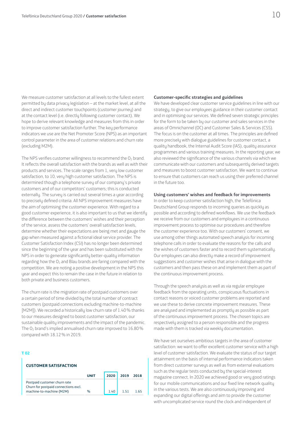We measure customer satisfaction at all levels to the fullest extent permitted by data privacy legislation – at the market level, at all the direct and indirect customer touchpoints (customer journey) and at the contact level (i.e. directly following customer contact). We hope to derive relevant knowledge and measures from this in order to improve customer satisfaction further. The key performance indicators we use are the Net Promoter Score (NPS) as an important control parameter in the area of customer relations and churn rate (excluding M2M).

The NPS verifies customer willingness to recommend the  $O<sub>2</sub>$  brand. It reflects the overall satisfaction with the brands as well as with their products and services. The scale ranges from 1, very low customer satisfaction, to 10, very high customer satisfaction. The NPS is determined though a telephone survey of our company's private customers and of our competitors' customers; this is conducted externally. The survey is carried out several times a year according to precisely defined criteria. All NPS improvement measures have the aim of optimising the customer experience. With regard to a good customer experience, it is also important to us that we identify the difference between the customers' wishes and their perception of the service, assess the customers' overall satisfaction levels, determine whether their expectations are being met and gauge the gap when measured against a fictional ideal service provider. The Customer Satisfaction Index (CSI) has no longer been determined since the beginning of the year and has been substituted with the NPS in order to generate significantly better-quality information regarding how the  $O_2$  and Blau brands are faring compared with the competition. We are noting a positive development in the NPS this year and expect this to remain the case in the future in relation to both private and business customers.

The churn rate is the migration rate of postpaid customers over a certain period of time divided by the total number of contract customers (postpaid connections excluding machine-to-machine [M2M]). We recorded a historically low churn rate of 1.40% thanks to our measures designed to boost customer satisfaction, our sustainable quality improvements and the impact of the pandemic. The O2 brand's implied annualised churn rate improved to 16.80% compared with 18.12% in 2019.

#### **T 02**

#### **CUSTOMER SATISFACTION**

|                                                                      | <b>IINIT</b> | 2020 | 2019 | 2018 |
|----------------------------------------------------------------------|--------------|------|------|------|
| Postpaid customer churn rate<br>Churn for postpaid connections excl. |              |      |      |      |
| machine-to-machine (M2M)                                             | %            | 1 40 |      |      |

#### **Customer-specific strategies and guidelines**

We have developed clear customer service guidelines in line with our strategy, to give our employees guidance in their customer contact and in optimising our services. We defined seven strategic principles for the form to be taken by our customer and sales services in the areas of Omnichannel (OC) and Customer Sales & Services (CSS). The focus is on the customer at all times. The principles are defined more precisely with dialogue guidelines for customer contact, a quality handbook, the Internal Audit Score (IAS), quality assurance programmes and various training measures. In the reporting year, we also reviewed the significance of the various channels via which we communicate with our customers and subsequently derived targets and measures to boost customer satisfaction. We want to continue to ensure that customers can reach us using their preferred channel in the future too.

#### **Using customers' wishes and feedback for improvements**

In order to keep customer satisfaction high, the Telefónica Deutschland Group responds to incoming queries as quickly as possible and according to defined workflows. We use the feedback we receive from our customers and employees in a continuous improvement process to optimise our procedures and therefore the customer experience too. With our customers' consent, we use among other things automated speech analysis for incoming telephone calls in order to evaluate the reasons for the calls and the wishes of customers faster and to record them sustematically. Our employees can also directly make a record of improvement suggestions and customer wishes that arise in dialogue with the customers and then pass these on and implement them as part of the continuous improvement process.

Through the speech analysis as well as via regular employee feedback from the operating units, conspicuous fluctuations in contact reasons or voiced customer problems are reported and we use these to derive concrete improvement measures. These are analysed and implemented as promptly as possible as part of the continuous improvement process. The chosen topics are respectively assigned to a person responsible and the progress made with them is tracked via weekly documentation.

We have set ourselves ambitious targets in the area of customer satisfaction: we want to offer excellent customer service with a high level of customer satisfaction. We evaluate the status of our target attainment on the basis of internal performance indicators taken from direct customer surveys as well as from external evaluations such as the regular tests conducted by the special-interest magazine connect. In 2020 we achieved good or very good ratings for our mobile communications and our fixed line network quality in the various tests. We are also continuously improving and expanding our digital offerings and aim to provide the customer with uncomplicated service round the clock and independent of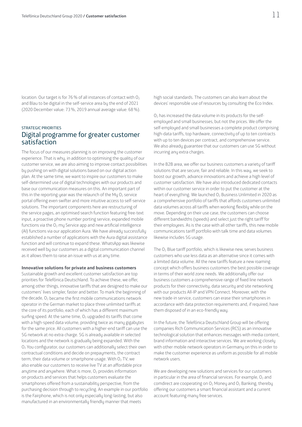location. Our target is for 76 % of all instances of contact with O<sub>2</sub> and Blau to be digital in the self-service area by the end of 2021 (2020 December value: 73%, 2019 annual average value: 68%).

## STRATEGIC PRIORITIES Digital programme for greater customer satisfaction

The focus of our measures planning is on improving the customer experience. That is why, in addition to optimising the quality of our customer service, we are also aiming to improve contact possibilities by pushing on with digital solutions based on our digital action plan. At the same time, we want to inspire our customers to make self-determined use of digital technologies with our products and base our communication measures on this. An important part of this in the reporting year was the relaunch of the My  $O<sub>2</sub>$  service portal offering even swifter and more intuitive access to self-service solutions. The important components here are restructuring of the service pages, an optimised search function featuring free-text input, a proactive phone number porting service, expanded mobile functions via the  $O<sub>2</sub>$  my Service app and new artificial intelligence (AI) functions via our application Aura. We have already successfully established a number of applications with the Aura digital assistance function and will continue to expand these. WhatsApp was likewise received well by our customers as a digital communication channel as it allows them to raise an issue with us at any time.

#### **Innovative solutions for private and business customers**

Sustainable growth and excellent customer satisfaction are top priorities for Telefónica Deutschland. To achieve these, we offer, among other things, innovative tariffs that are designed to make our customers' lives simpler, faster and better. To mark the beginning of the decade,  $O<sub>2</sub>$  became the first mobile communications network operator in the German market to place three unlimited tariffs at the core of its portfolio, each of which has a different maximum surfing speed. At the same time,  $O<sub>2</sub>$  upgraded its tariffs that come with a high-speed data volume, providing twice as many gigabytes for the same price. All customers with a higher-end tariff can use the 5G network at no extra charge. 5G is already available in selected locations and the network is gradually being expanded. With the O2 You configurator, our customers can additionally select their own contractual conditions and decide on prepayments, the contract term, their data volume or smartphone usage. With O<sub>2</sub> TV, we also enable our customers to receive live TV at an affordable price anytime and anywhere. What is more,  $0<sub>2</sub>$  provides information on products and services that helps customers evaluate the smartphones offered from a sustainability perspective, from the purchasing decision through to recycling. An example in our portfolio is the Fairphone, which is not only especially long-lasting, but also manufactured in an environmentally friendly manner that meets

high social standards. The customers can also learn about the devices' responsible use of resources by consulting the Eco Index.

 $O<sub>2</sub>$  has increased the data volume in its products for the selfemployed and small businesses, but not the prices. We offer the self-employed and small businesses a complete product comprising high-data tariffs, top hardware, connectivity of up to ten contracts with up to ten devices per contract, and comprehensive service. We also already guarantee that our customers can use 5G without incurring any extra charges.

In the B2B area, we offer our business customers a variety of tariff solutions that are secure, fair and reliable. In this way, we seek to boost our growth, advance innovations and achieve a high level of customer satisfaction. We have also introduced dedicated contacts within our customer service in order to put the customer at the heart of everything. We launched O<sub>2</sub> Business Unlimited in 2020 as a comprehensive portfolio of tariffs that affords customers unlimited data volumes across all tariffs when working flexibly while on the move. Depending on their use case, the customers can choose different bandwidths (speeds) and select just the right tariff for their employees. As is the case with all other tariffs, this new mobile communications tariff portfolio with talk time and data volumes likewise includes 5G usage.

The O<sub>2</sub> Blue tariff portfolio, which is likewise new, serves business customers who use less data as an alternative since it comes with a limited data volume. All the new tariffs feature a new roaming concept which offers business customers the best possible coverage in terms of their world zone needs. We additionally offer our business customers a comprehensive range of fixed line network products for their connectivity, data security and site networking with our products All-IP and VPN Connect. Moreover, with the new trade-in service, customers can erase their smartphones in accordance with data protection requirements and, if required, have them disposed of in an eco-friendly way.

In the future, the Telefónica Deutschland Group will be offering companies Rich Communication Services (RCS) as an innovative technological solution that enhances messages with media content, brand information and interactive services. We are working closely with other mobile network operators in Germany on this in order to make the customer experience as uniform as possible for all mobile network users.

We are developing new solutions and services for our customers in particular in the area of financial services. For example,  $O<sub>2</sub>$  and comdirect are cooperating on  $O_2$  Money and  $O_2$  Banking, thereby offering our customers a smart financial assistant and a current account featuring many free services.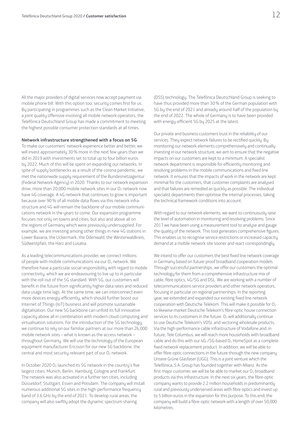All the major providers of digital services now accept payment via mobile phone bill. With this option too, security comes first for us. By participating in programmes such as the Clean Market Initiative, a joint quality offensive involving all mobile network operators, the Telefónica Deutschland Group has made a commitment to meeting the highest possible consumer protection standards at all times.

#### **Network infrastructure strengthened with a focus on 5G**

To make our customers' network experience better and better, we will invest approximately 30% more in the next few years than we did in 2019 with investments set to total up to four billion euros by 2022. Much of this will be spent on expanding our networks. In spite of supply bottlenecks as a result of the corona pandemic, we met the nationwide supply requirement of the Bundesnetzagentur (Federal Network Agency) in 2020. Thanks to our network expansion drive, more than 20,000 mobile network sites in our  $O<sub>2</sub>$  network now have 4G coverage. A 4G network that continues to grow is important because over 90% of all mobile data flows via this network infrastructure and 4G will remain the backbone of our mobile communications network in the years to come. Our expansion programme focuses not only on towns and cities, but also and above all on the regions of Germany which were previously undersupplied. For example, we are investing among other things in new 4G stations in Lower Bavaria, the Uckermark, the Odenwald, the Westerwaldkreis, Südwestpfalz, the Harz and Lusatia.

As a leading telecommunications provider, we connect millions of people with mobile communications via our  $O<sub>2</sub>$  network. We therefore have a particular social responsibility with regard to mobile connectivity, which we are endeavouring to live up to in particular with the roll-out of the 5G standard. With 5G, our customers will benefit in the future from significantly higher data rates and reduced data usage time lags. At the same time, we can interconnect even more devices energy-efficiently, which should further boost our Internet of Things (IoT) business and will promote sustainable digitalisation. Our new 5G backbone can unfold its full innovative capacity above all in combination with modern cloud computing and virtualisation solutions. For the introduction of the 5G technology, we continue to rely on our familiar partners at our more than 26,000 mobile network sites – what is known as the access network – throughout Germany. We will use the technology of the European equipment manufacturer Ericsson for our new 5G backbone, the central and most security-relevant part of our  $O<sub>2</sub>$  network.

In October 2020  $O_2$  launched its 5G network in the country's five largest cities: Munich, Berlin, Hamburg, Cologne and Frankfurt. The network was also activated in a further ten cities, including Düsseldorf, Stuttgart, Essen and Potsdam. The company will install numerous additional 5G sites in the high-performance frequency band of 3.6 GHz by the end of 2021. To develop rural areas, the company will also swiftly adopt the dynamic spectrum sharing

(DSS) technology. The Telefónica Deutschland Group is seeking to have thus provided more than 30% of the German population with 5G by the end of 2021 and already around half of the population by the end of 2022. The whole of Germany is to have been provided with energy-efficient 5G by 2025 at the latest.

Our private and business customers trust in the reliability of our services. They expect network failures to be rectified quickly. By monitoring our network elements comprehensively and continually investing in our network structure, we aim to ensure that the negative impacts on our customers are kept to a minimum. A specialist network department is responsible for efficiently monitoring and resolving problems in the mobile communications and fixed line network. It ensures that the impacts of work in the network are kept minimal for the customers, that customer complaints are analysed and that failures are remedied as quickly as possible. The individual specialist departments then optimise the internal processes, taking the technical framework conditions into account.

With regard to our network elements, we want to continuously raise the level of automation in monitoring and resolving problems. Since 2017 we have been using a measurement tool to analyse and gauge the quality of the network. This tool generates comprehensive figures. This enables us to recognise service restrictions or increased capacity demand at a mobile network site sooner and react correspondingly.

We intend to offer our customers the best fixed line network coverage in Germany based on future-proof broadband cooperation models. Through successful partnerships, we offer our customers the optimal technology for them from a comprehensive infrastructure mix of cable, fibre optics, 4G/5G and DSL. We are working with a number of telecommunications service providers and other network operators, focusing in particular on regional partnerships. In the reporting year, we extended and expanded our existing fixed line network cooperation with Deutsche Telekom. This will make it possible for  $O<sub>2</sub>$ to likewise market Deutsche Telekom's fibre-optic house connection services to its customers in the future.  $O<sub>2</sub>$  will additionally continue to use Deutsche Telekom's VDSL and vectoring wholesale products. Via the high-performance cable infrastructure of Vodafone and, in future, Tele Columbus, we will reach more households with broadband cable and do this with our  $4G-75G$ -based  $O<sub>2</sub>$  HomeSpot as a complete fixed network replacement product. In addition, we will be able to offer fibre-optic connections in the future through the new company Unsere Grüne Glasfaser (UGG). This is a joint venture which the Telefónica, S.A. Group has founded together with Allianz. As the first major customer, we will be be able to market our  $O<sub>2</sub>$  broadband products via this infrastructure. In the next six years, the fibre-optic company wants to provide 2.2 million households in predominantly rural and previously underserved areas with fibre optics and invest up to 5 billion euros in the expansion for this purpose. To this end, the company will build a fibre-optic network with a length of over 50,000 kilometres.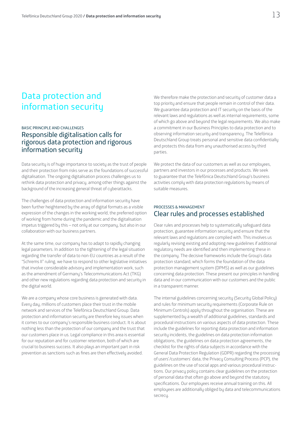## <span id="page-12-0"></span>Data protection and information security

## BASIC PRINCIPLE AND CHALLENGES Responsible digitalisation calls for rigorous data protection and rigorous information security

Data security is of huge importance to society as the trust of people and their protection from risks serve as the foundations of successful digitalisation. The ongoing digitalisation process challenges us to rethink data protection and privacy, among other things against the background of the increasing general threat of cyberattacks.

The challenges of data protection and information security have been further heightened by the array of digital formats as a visible expression of the changes in the working world, the preferred option of working from home during the pandemic and the digitalisation impetus triggered by this – not only at our company, but also in our collaboration with our business partners.

At the same time, our company has to adapt to rapidly changing legal parameters. In addition to the tightening of the legal situation regarding the transfer of data to non-EU countries as a result of the "Schrems II" ruling, we have to respond to other legislative initiatives that involve considerable advisory and implementation work, such as the amendment of Germany's Telecommunications Act (TKG) and other new regulations regarding data protection and security in the digital world.

We are a company whose core business is generated with data. Every day, millions of customers place their trust in the mobile network and services of the Telefónica Deutschland Group. Data protection and information security are therefore key issues when it comes to our company's responsible business conduct. It is about nothing less than the protection of our company and the trust that our customers place in us. Legal compliance in this area is essential for our reputation and for customer retention, both of which are crucial to business success. It also plays an important part in risk prevention as sanctions such as fines are then effectively avoided.

We therefore make the protection and security of customer data a top priority and ensure that people remain in control of their data. We guarantee data protection and IT security on the basis of the relevant laws and regulations as well as internal requirements, some of which go above and beyond the legal requirements. We also make a commitment in our Business Principles to data protection and to observing information security and transparency. The Telefónica Deutschland Group treats personal and sensitive data confidentially and protects this data from any unauthorised access by third parties.

We protect the data of our customers as well as our employees, partners and investors in our processes and products. We seek to guarantee that the Telefónica Deutschland Group's business activities comply with data protection regulations by means of suitable measures.

### PROCESSES & MANAGEMENT Clear rules and processes established

Clear rules and processes help to systematically safeguard data protection, guarantee information security and ensure that the relevant laws and regulations are complied with. This involves us regularly revising existing and adopting new guidelines if additional regulatory needs are identified and then implementing these in the company. The decisive frameworks include the Group's data protection standard, which forms the foundation of the data protection management system (DPMS) as well as our guidelines concerning data protection. These present our principles in handling data and in our communication with our customers and the public in a transparent manner.

The internal guidelines concerning security (Security Global Policy) and rules for minimum security requirements (Corporate Rule on Minimum Controls) apply throughout the organisation. These are supplemented by a wealth of additional guidelines, standards and procedural instructions on various aspects of data protection. These include the guidelines for reporting data protection and information security incidents, the guidelines on data protection information obligations, the guidelines on data protection agreements, the checklist for the rights of data subjects in accordance with the General Data Protection Regulation (GDPR) regarding the processing of users'/customers' data, the Privacy Consulting Process (PCP), the guidelines on the use of social apps and various procedural instructions. Our privacy policy contains clear guidelines on the protection of personal data that often go above and beyond the statutory specifications. Our employees receive annual training on this. All employees are additionally obliged by data and telecommunications secrecy.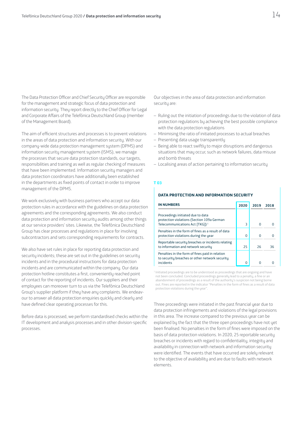The Data Protection Officer and Chief Security Officer are responsible for the management and strategic focus of data protection and information security. They report directly to the Chief Officer for Legal and Corporate Affairs of the Telefónica Deutschland Group (member of the Management Board).

The aim of efficient structures and processes is to prevent violations in the areas of data protection and information security. With our company-wide data protection management system (DPMS) and information security management system (ISMS), we manage the processes that secure data protection standards, our targets, responsibilities and training as well as regular checking of measures that have been implemented. Information security managers and data protection coordinators have additionally been established in the departments as fixed points of contact in order to improve management of the DPMS.

We work exclusively with business partners who accept our data protection rules in accordance with the guidelines on data protection agreements and the corresponding agreements. We also conduct data protection and information security audits among other things at our service providers' sites. Likewise, the Telefónica Deutschland Group has clear processes and regulations in place for involving subcontractors and sets corresponding requirements for contracts.

We also have set rules in place for reporting data protection and security incidents; these are set out in the guidelines on security incidents and in the procedural instructions for data protection incidents and are communicated within the company. Our data protection hotline constitutes a first, conveniently reached point of contact for the reporting of incidents. Our suppliers and their employees can moreover turn to us via the Telefónica Deutschland Group's supplier platform if they have any complaints. We endeavour to answer all data protection enquiries quickly and clearly and have defined clear operating processes for this.

Before data is processed, we perform standardised checks within the IT development and analysis processes and in other division-specific processes.

Our objectives in the area of data protection and information security are:

- Ruling out the initiation of proceedings due to the violation of data protection regulations by achieving the best possible compliance with the data protection regulations
- Minimising the ratio of initiated processes to actual breaches
- Presenting data usage transparently
- Being able to react swiftly to major disruptions and dangerous situations that may occur, such as network failures, data misuse and bomb threats
- Localising areas of action pertaining to information security

#### **T 03**

#### **DATA PROTECTION AND INFORMATION SECURITY**

| <b>IN NUMBERS</b>                                                                                                             | 2020 | 2019 | 2018 |
|-------------------------------------------------------------------------------------------------------------------------------|------|------|------|
| Proceedings initiated due to data<br>protection violations (Section 109a German<br>Telecommunications Act [TKG]) <sup>1</sup> | 3    | O    |      |
| Penalties in the form of fines as a result of data<br>protection violations during the year                                   | 0    |      |      |
| Reportable security breaches or incidents relating<br>to information and network security                                     | 25   | 26   | 36   |
| Penalties in the form of fines paid in relation<br>to security breaches or other network security<br>incidents                |      |      |      |

 $1$  Initiated proceedings are to be understood as proceedings that are ongoing and have not been concluded. Concluded proceedings generally lead to a penalty, a fine or an abandonment of proceedings as a result of the authority's suspicion not being borne out. Fines are reported in the indicator "Penalties in the form of fines as a result of data protection violations during the year".

Three proceedings were initiated in the past financial year due to data protection infringements and violations of the legal provisions in this area. The increase compared to the previous year can be explained by the fact that the three open proceedings have not yet been finalised. No penalties in the form of fines were imposed on the basis of data protection violations. In 2020, 25 reportable security breaches or incidents with regard to confidentiality, integrity and availability in connection with network and information security were identified. The events that have occurred are solely relevant to the objective of availability and are due to faults with network elements.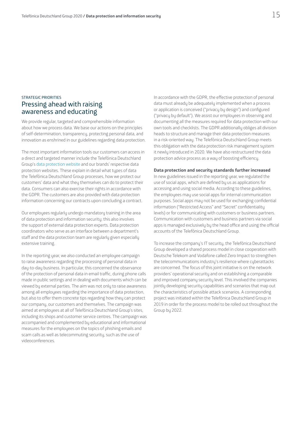## STRATEGIC PRIORITIES Pressing ahead with raising awareness and educating

We provide regular, targeted and comprehensible information about how we process data. We base our actions on the principles of self-determination, transparency, protecting personal data, and innovation as enshrined in our guidelines regarding data protection.

The most important information tools our customers can access in a direct and targeted manner include the Telefónica Deutschland Group's [data protection website](https://www.telefonica.de/unternehmen/datenschutz.html) and our brands' respective data protection websites. These explain in detail what types of data the Telefónica Deutschland Group processes, how we protect our customers' data and what they themselves can do to protect their data. Consumers can also exercise their rights in accordance with the GDPR. The customers are also provided with data protection information concerning our contracts upon concluding a contract.

Our employees regularly undergo mandatory training in the area of data protection and information security; this also involves the support of external data protection experts. Data protection coordinators who serve as an interface between a department's staff and the data protection team are regularly given especially extensive training.

In the reporting year, we also conducted an employee campaign to raise awareness regarding the processing of personal data in day-to-day business. In particular, this concerned the observance of the protection of personal data in email traffic, during phone calls made in public settings and in dealing with documents which can be viewed by external parties. The aim was not only to raise awareness among all employees regarding the importance of data protection, but also to offer them concrete tips regarding how they can protect our company, our customers and themselves. The campaign was aimed at employees at all of Telefónica Deutschland Group's sites, including its shops and customer service centres. The campaign was accompanied and complemented by educational and informational measures for the employees on the topics of phishing emails and scam calls as well as telecommuting security, such as the use of videoconferences.

In accordance with the GDPR, the effective protection of personal data must already be adequately implemented when a process or application is conceived ("privacy by design") and configured ("privacy by default"). We assist our employees in observing and documenting all the measures required for data protection with our own tools and checklists. The GDPR additionally obliges all division heads to structure and manage their data protection measures in a risk-oriented way. The Telefónica Deutschland Group meets this obligation with the data protection risk management system it newly introduced in 2020. We have also restructured the data protection advice process as a way of boosting efficiency.

#### **Data protection and security standards further increased**

In new guidelines issued in the reporting year, we regulated the use of social apps, which are defined by us as applications for accessing and using social media. According to these guidelines, the employees may use social apps for internal communication purposes. Social apps may not be used for exchanging confidential information ("Restricted Access" and "Secret" confidentiality levels) or for communicating with customers or business partners. Communication with customers and business partners via social apps is managed exclusively by the head office and using the official accounts of the Telefónica Deutschland Group.

To increase the company's IT security, the Telefónica Deutschland Group developed a shared process model in close cooperation with Deutsche Telekom and Vodafone called Zero Impact to strengthen the telecommunications industry's resilience where cyberattacks are concerned. The focus of this joint initiative is on the network providers' operational security and on establishing a comparable and improved company security level. This involved the companies jointly developing security capabilities and scenarios that map out the characteristics of possible attack scenarios. A corresponding project was initiated within the Telefónica Deutschland Group in 2019 in order for the process model to be rolled out throughout the Group by 2022.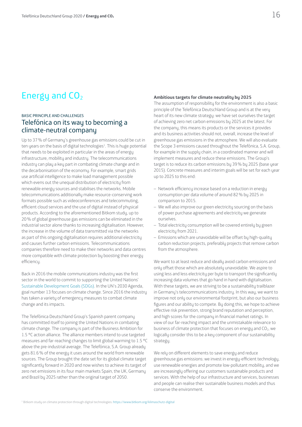## <span id="page-15-0"></span>Energy and  $CO<sub>2</sub>$

## BASIC PRINCIPLE AND CHALLENGES Telefónica on its way to becoming a climate-neutral company

Up to 37% of Germany's greenhouse gas emissions could be cut in ten years on the basis of digital technologies<sup>1</sup>. This is huge potential that needs to be exploited in particular in the areas of energy infrastructure, mobility and industry. The telecommunications industry can play a key part in combating climate change and in the decarbonisation of the economy. For example, smart grids use artificial intelligence to make load management possible which evens out the unequal distribution of electricity from renewable energy sources and stabilises the networks. Mobile telecommunications additionally make resource-conserving work formats possible such as videoconferences and telecommuting, efficient cloud services and the use of digital instead of physical products. According to the aforementioned Bitkom study, up to 20% of global greenhouse gas emissions can be eliminated in the industrial sector alone thanks to increasing digitalisation. However, the increase in the volume of data transmitted via the networks as part of this ongoing digitalisation requires additional electricity and causes further carbon emissions. Telecommunications companies therefore need to make their networks and data centres more compatible with climate protection by boosting their energy efficiency.

Back in 2016 the mobile communications industry was the first sector in the world to commit to supporting the United Nations' [Sustainable Development Goals \(SDGs\).](https://www.un.org/sustainabledevelopment/sustainable-development-goals/) In the UN's 2030 Agenda, goal number 13 focuses on climate change. Since 2016 the industry has taken a variety of emergency measures to combat climate change and its impacts.

The Telefónica Deutschland Group's Spanish parent company has committed itself to joining the United Nations in combating climate change. The company is part of the Business Ambition for 1.5 °C action alliance. The alliance members intend to use targeted measures and far-reaching changes to limit global warming to 1.5 °C above the pre-industrial average. The Telefónica, S.A. Group already gets 81.6% of the energy it uses around the world from renewable sources. The Group brought the date set for its global climate target significantly forward in 2020 and now wishes to achieve its target of zero net emissions in its four main markets Spain, the UK, Germany and Brazil by 2025 rather than the original target of 2050.

#### **Ambitious targets for climate neutrality by 2025**

The assumption of responsibility for the environment is also a basic principle of the Telefónica Deutschland Group and is at the very heart of its new climate strategy: we have set ourselves the target of achieving zero net carbon emissions by 2025 at the latest. For the company, this means its products or the services it provides and its business activities should not, overall, increase the level of greenhouse gas emissions in the atmosphere. We will also evaluate the Scope 3 emissions caused throughout the Telefónica, S.A. Group, for example in the supply chain, in a coordinated manner and will implement measures and reduce these emissions. The Group's target is to reduce its carbon emissions by 39% by 2025 (base year 2015). Concrete measures and interim goals will be set for each year up to 2025 to this end:

- Network efficiency increase based on a reduction in energy consumption per data volume of around 82% by 2025 in comparison to 2015.
- We will also improve our green electricity sourcing on the basis of power purchase agreements and electricity we generate ourselves.
- Total electricity consumption will be covered entirely by green electricity from 2021.
- Emissions which are unavoidable will be offset by high-quality carbon reduction projects, preferably projects that remove carbon from the atmosphere.

We want to at least reduce and ideally avoid carbon emissions and only offset those which are absolutely unavoidable. We aspire to using less and less electricity per byte to transport the significantly increasing data volumes that go hand in hand with digitalisation. With these targets, we are striving to be a sustainability trailblazer in Germany's telecommunications industry. In this way, we want to improve not only our environmental footprint, but also our business figures and our ability to compete. By doing this, we hope to achieve effective risk prevention, strong brand reputation and perception, and high scores for the company in financial market ratings. In view of our far-reaching impact and the unmistakable relevance to business of climate protection that focuses on energy and CO2, we logically consider this to be a key component of our sustainability strategy.

We rely on different elements to save energy and reduce greenhouse gas emissions: we invest in energy-efficient technology, use renewable energies and promote low-pollutant mobility, and we are increasingly offering our customers sustainable products and services. With the help of our infrastructure and services, businesses and people can realise their sustainable business models and thus conserve the environment.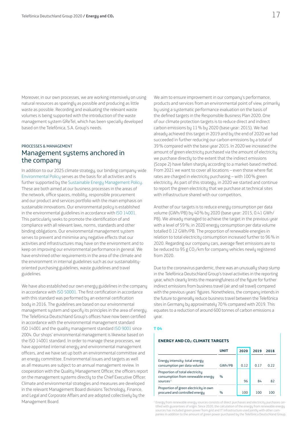Moreover, in our own processes, we are working intensively on using natural resources as sparingly as possible and producing as little waste as possible. Recording and evaluating the relevant waste volumes is being supported with the introduction of the waste management system GReTel, which has been specially developed based on the Telefónica, S.A. Group's needs.

### PROCESSES & MANAGEMENT Management systems anchored in the company

In addition to our 2025 climate strategy, our binding company-wide [Environmental Policy](https://www.telefonica.de/umweltrichtlinie-en) serves as the basis for all activities and is further supported by the [Sustainable Energy Management Policy.](https://www.telefonica.de/energierichtlinie-en) These are both aimed at our business processes in the areas of the network, office spaces, mobility, responsible procurement and our product and services portfolio with the main emphasis on sustainable innovations. Our environmental policy is established in the environmental guidelines in accordance with [ISO 14001](https://www.telefonica.de/unternehmen/strategie-und-fakten/zertifizierungen-awards/iso-zertifikat-140012015-2018-2021.html). This particularly seeks to promote the identification of and compliance with all relevant laws, norms, standards and other binding obligations. Our environmental management system serves to prevent and minimise any negative effects that our activities and infrastructures may have on the environment and to keep on improving our environmental performance in general. We have enshrined other requirements in the area of the climate and the environment in internal guidelines such as our sustainabilityoriented purchasing guidelines, waste guidelines and travel guidelines.

We have also established our own energy guidelines in the company in accordance with [ISO 50001.](https://www.telefonica.de/unternehmen/strategie-und-fakten/zertifizierungen-awards/iso-zertifikat-50001-2019-2021.html) The first certification in accordance with this standard was performed by an external certification body in 2016. The guidelines are based on our environmental management sustem and specify its principles in the area of energy. The Telefónica Deutschland Group's offices have now been certified in accordance with the environmental management standard ISO 14001 and the quality management standard [ISO 9001](https://www.telefonica.de/unternehmen/strategie-und-fakten/zertifizierungen-awards/iso-zertifikat-90012015-2018-2021.html) since 2004. Our shops' environmental management is likewise based on the ISO 14001 standard. In order to manage these processes, we have appointed internal energy and environmental management officers, and we have set up both an environmental committee and an energy committee. Environmental issues and targets as well as all measures are subject to an annual management review. In cooperation with the Quality Management Officer, the officers report on the management systems directly to the Chief Executive Officer. Climate and environmental strategies and measures are developed in the relevant Management Board divisions Technology, Finance, and Legal and Corporate Affairs and are adopted collectively by the Management Board.

We aim to ensure improvement in our company's performance, products and services from an environmental point of view, primarily by using a systematic performance evaluation on the basis of the defined targets in the Responsible Business Plan 2020. One of our climate protection targets is to reduce direct and indirect carbon emissions by 11% by 2020 (base year: 2015). We had already achieved this target in 2019 and by the end of 2020 we had succeeded in further reducing our carbon emissions by a total of 39% compared with the base year 2015. In 2020 we increased the amount of green electricity purchased via the amount of electricity we purchase directly to the extent that the indirect emissions (Scope 2) have fallen sharply according to a market-based method. From 2021 we want to cover all locations – even those where flat rates are charged in electricity purchasing – with 100% green electricity. As part of this strategy, in 2020 we started and continue to report the green electricity that we purchase at technical sites with infrastructure shared with our competitors.

Another of our targets is to reduce energy consumption per data volume (GWh/PB) by 40% by 2020 (base year: 2015, 0.41 GWh/ PB). We already managed to achieve the target in the previous year with a level of 59%; in 2020 energy consumption per data volume totalled 0.12 GWh/PB. The proportion of renewable energies in relation to total electricity consumption increased further to 96% in 2020. Regarding our company cars, average fleet emissions are to be reduced to 95 g CO<sub>2</sub>/km for company vehicles newly registered from 2020.

Due to the coronavirus pandemic, there was an unusually sharp slump in the Telefónica Deutschland Group's travel activities in the reporting year, which clearly limits the meaningfulness of the figure for further indirect emissions from business travel (air and rail travel) compared with the previous years' figures. Nonetheless, the company intends in the future to generally reduce business travel between the Telefónica sites in Germany by approximately 70% compared with 2019. This equates to a reduction of around 600 tonnes of carbon emissions a year.

#### **T 04**

#### **ENERGY AND CO2: CLIMATE TARGETS**

|                                                                                     | UNIT   | 2020 | 2019 | 2018 |
|-------------------------------------------------------------------------------------|--------|------|------|------|
| Energy intensity: total energy<br>consumption per data volume                       | GWh/PB | 0.12 | 0.17 | በ 22 |
| Proportion of total electricity<br>consumption from renewable energy<br>sources $1$ | $\%$   | 96   | 84   | 82   |
| Proportion of green electricity in own<br>procured and controlled energy            | $\%$   | 100  | 100  | חחו  |

<sup>1</sup> Energy from renewable energy sources consists of direct purchases and electricity purchases certified with guarantees of origin. Since 2020, the calculation of the energy from renewable energy sources has included green power from grid and IT infrastructure used jointly with other companies in addition to the amount of green power purchased by the Telefónica Deutschland Group.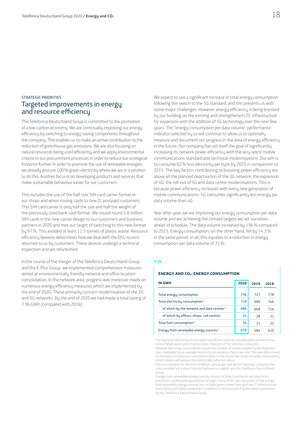## STRATEGIC PRIORITIES Targeted improvements in energy and resource efficiency

The Telefónica Deutschland Group is committed to the promotion of a low-carbon economy. We are continually improving our energy efficiency by switching to energy-saving components throughout the company. This enables us to make an active contribution to the reduction of greenhouse gas emissions. We are also focusing on natural resources being used efficiently and we apply environmental criteria to our procurement processes in order to reduce our ecological footprint further. In order to promote the use of renewable energies, we already procure 100% green electricity where we are in a position to do this. Another focus is on developing products and services that make sustainable behaviour easier for our customers.

This includes the use of the half-size SIM card carrier format in our shops and when issuing cards to new  $O<sub>2</sub>$  postpaid customers. This SIM card carrier is only half the size and half the weight of the previously used bank card format. We issued round 5.8 million SIM cards in the new carrier design to our customers and business partners in 2020 and met our target of switching to this new format by 97%. This avoided at least 11.5 tonnes of plastic waste. Resource efficiency likewise determines how we deal with the DSL routers returned to us by customers. These devices undergo a technical inspection and are refurbished.

In the course of the merger of the Telefónica Deutschland Group and the E-Plus Group, we implemented comprehensive measures aimed at environmentally friendly network and office location consolidation. In the network area, progress was moreover made on numerous energy efficiency measures which we implemented by the end of 2020. These primarily concern modernisation of the 2G and 3G networks. By the end of 2020 we had made a total saving of 7.96 GWh (compared with 2016).

We expect to see a significant increase in total energy consumption following the switch to the 5G standard, and this presents us with some major challenges. However, energy efficiency is being boosted by our building on the existing and strengthened LTE infrastructure for expansion with the addition of 5G technology over the next few years. The "energy consumption per data volume" performance indicator selected by us will continue to allow us to optimally measure and document our progress in the area of energy efficiency in the future. Our company has set itself the goal of significantly increasing its network power efficiency with the very latest mobile communications standard and technical modernisations. Our aim is to consume 82% less electricity per byte by 2025 in comparison to 2015. The key factors contributing to boosting power efficiency are above all the planned deactivation of the 3G network, the expansion of 4G, the roll-out of 5G and data centre modernisations. This is because power efficiency increases with every new generation of mobile communications. 5G consumes significantly less energy per data volume than 4G.

Year after year, we are improving our energy consumption per data volume and are achieving the climate targets we set ourselves ahead of schedule. The data volume increased by 196% compared to 2015. Energy consumption, on the other hand, fell by 14.3% in the same period. In all, this equates to a reduction in energy consumption per data volume of 71%.

#### **T 05**

#### **ENERGY AND CO2: ENERGY CONSUMPTION**

| <b>IN GWH</b>                                         | 2020 | 2019 | 2018 |
|-------------------------------------------------------|------|------|------|
| Total energy consumption                              | 736  | 727  | 778  |
| Total electricity consumption <sup>1</sup>            | 710  | 696  | 746  |
| of which by the network and data centres <sup>2</sup> | 686  | 668  | 716  |
| of which by offices, shops, call centres              | 24   | 28   | 31   |
| Total fuel consumption <sup>3</sup>                   | 26   | 31   | 32   |
| Energy from renewable energy sources <sup>4</sup>     | 679  | 584  | 610  |

<sup>1</sup> The figure for electricity consumption equals the volumes actually billed per electricity consumption point and, in some cases, forecasts of the volumes consumed.

<sup>2</sup> Network electricity consumption equals the number of mobile telephony and fixed line sites multiplied by an average electricity consumption figure per site. This was determined on the basis of historical consumption data. In the future, the values actually measured by smart meters will replace the statistically collected values.

<sup>3</sup> Fuel consumption (in the form of diesel, natural gas and district heating) comprises the units provided via a direct contract between a supplier and the Telefónica Deutschland Group.

<sup>4</sup> Energy from renewable energy sources consists of direct purchases and electricity purchases certified with guarantees of origin. Since 2020, the calculation of the energy from renewable energy sources has included green power from grid and IT infrastructure used jointly with other companies in addition to the amount of green power purchased by the Telefónica Deutschland Group.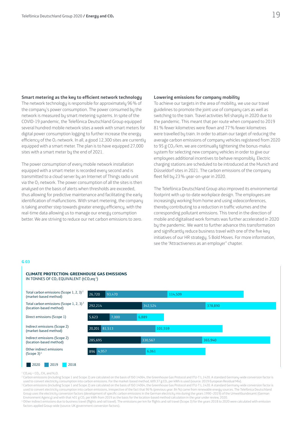#### **Smart metering as the key to efficient network technology**

The network technology is responsible for approximately 96% of the company's power consumption. The power consumed by the network is measured by smart metering systems. In spite of the COVID-19 pandemic, the Telefónica Deutschland Group equipped several hundred mobile network sites a week with smart meters for digital power consumption logging to further increase the energy efficiency of the  $O_2$  network. In all, a good 12,300 sites are currently equipped with a smart meter. The plan is to have equipped 27,000 sites with a smart meter by the end of 2021.

The power consumption of every mobile network installation equipped with a smart meter is recorded every second and is transmitted to a cloud server by an Internet of Things radio unit via the  $O_2$  network. The power consumption of all the sites is then analysed on the basis of alerts when thresholds are exceeded, thus allowing for predictive maintenance and facilitating the early identification of malfunctions. With smart metering, the company is taking another step towards greater energy efficiency, with the real-time data allowing us to manage our energy consumption better. We are striving to reduce our net carbon emissions to zero.

#### **Lowering emissions for company mobility**

To achieve our targets in the area of mobility, we use our travel guidelines to promote the joint use of company cars as well as switching to the train. Travel activities fell sharply in 2020 due to the pandemic. This meant that per route when compared to 2019 81% fewer kilometres were flown and 77% fewer kilometres were travelled by train. In order to attain our target of reducing the average carbon emissions of company vehicles registered from 2020 to 95 g CO $_2$ /km, we are continually tightening the bonus-malus system for selecting new company vehicles in order to give our employees additional incentives to behave responsibly. Electric charging stations are scheduled to be introduced at the Munich and Düsseldorf sites in 2021. The carbon emissions of the company fleet fell by 23 % year-on-year in 2020.

The Telefónica Deutschland Group also improved its environmental footprint with up-to-date workplace design. The employees are increasingly working from home and using videoconferences, thereby contributing to a reduction in traffic volumes and the corresponding pollutant emissions. This trend in the direction of mobile and digitalised work formats was further accelerated in 2020 by the pandemic. We want to further advance this transformation and significantly reduce business travel with one of the five key initiatives of our HR strategy, 5 Bold Moves. For more information, see the "Attractiveness as an employer" chapter.

#### **G 03**



#### 2020 2019 2018

 $^{1}$  CO<sub>2</sub> eq = CO<sub>2</sub>, CH<sub>4</sub> and N<sub>2</sub>O.

<sup>2</sup> Carbon emissions (including Scope 1 and Scope 2) are calculated on the basis of ISO 14064, the Greenhouse Gas Protocol and ITU-T L.1420. A standard Germany-wide conversion factor is used to convert electricity consumption into carbon emissions. For the market-based method, 609.37 g CO2 per kWh is used (source: 2019 European Residual Mix).

<sup>3</sup> Carbon emissions (including Scope 1 and Scope 2) are calculated on the basis of ISO 14064, the Greenhouse Gas Protocol and ITU-T L.1420. A standard Germany-wide conversion factor is used to convert electricity consumption into carbon emissions, irrespective of the fact that 96% (previous year: 84%) came from renewable energy sources. The Telefónica Deutschland Group uses the electricity conversion factors (development of specific carbon emissions in the German electricity mix during the years 1990–2019) of the Umweltbundesamt (German Environment Agency) and with that 401 g CO<sub>2</sub> per kWh from 2019 as the basis for the location-based method calculation in the year under review, 2020

<sup>4</sup> Other indirect emissions due to business travel (flights and rail travel). The emissions per km for flights and rail travel (Scope 3) for the years 2018 to 2020 were calculated with emission factors applied Group-wide (source: UK government conversion factors).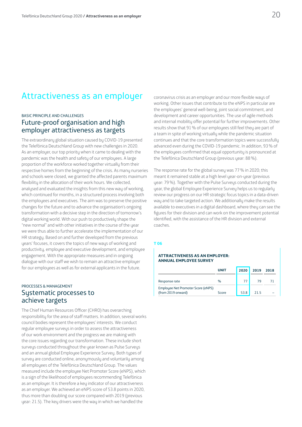## <span id="page-19-0"></span>Attractiveness as an employer

## BASIC PRINCIPLE AND CHALLENGES Future-proof organisation and high employer attractiveness as targets

The extraordinary global situation caused by COVID-19 presented the Telefónica Deutschland Group with new challenges in 2020. As an employer, our top priority when it came to dealing with the pandemic was the health and safety of our employees. A large proportion of the workforce worked together virtually from their respective homes from the beginning of the crisis. As many nurseries and schools were closed, we granted the affected parents maximum flexibility in the allocation of their work hours. We collected, analysed and evaluated the insights from this new way of working, which continued for months, in a structured process involving both the employees and executives. The aim was to preserve the positive changes for the future and to advance the organisation's ongoing transformation with a decisive step in the direction of tomorrow's digital working world. With our push to productively shape the "new normal" and with other initiatives in the course of the year we were thus able to further accelerate the implementation of our HR strategy. Based on and further developed from the previous years' focuses, it covers the topics of new ways of working and productivity, employee and executive development, and employee engagement. With the appropriate measures and in ongoing dialogue with our staff we wish to remain an attractive employer for our employees as well as for external applicants in the future.

## PROCESSES & MANAGEMENT Systematic processes to achieve targets

The Chief Human Resources Officer (CHRO) has overarching responsibility for the area of staff matters. In addition, several works council bodies represent the employees' interests. We conduct regular employee surveys in order to assess the attractiveness of our work environment and the progress we are making with the core issues regarding our transformation. These include short surveys conducted throughout the year known as Pulse Surveys and an annual global Employee Experience Survey. Both types of survey are conducted online, anonymously and voluntarily among all employees of the Telefónica Deutschland Group. The values measured include the employee Net Promoter Score (eNPS), which is a sign of the likelihood of employees recommending Telefónica as an employer. It is therefore a key indicator of our attractiveness as an employer. We achieved an eNPS score of 53.8 points in 2020, thus more than doubling our score compared with 2019 (previous year: 21.5). The key drivers were the way in which we handled the

coronavirus crisis as an employer and our more flexible ways of working. Other issues that contribute to the eNPS in particular are the employees' general well-being, joint social commitment, and development and career opportunities. The use of agile methods and internal mobility offer potential for further improvements. Other results show that 91% of our employees still feel they are part of a team in spite of working virtually while the pandemic situation continues and that the core transformation topics were successfully advanced even during the COVID-19 pandemic. In addition, 93% of the employees confirmed that equal opportunity is pronounced at the Telefónica Deutschland Group (previous year: 88%).

The response rate for the global survey was 77% in 2020; this meant it remained stable at a high level year-on-year (previous year: 79%). Together with the Pulse Surveys conducted during the year, the global Employee Experience Survey helps us to regularly review our progress on our HR strategic focus topics in a data-driven way and to take targeted action. We additionally make the results available to executives in a digital dashboard, where they can see the figures for their division and can work on the improvement potential identified, with the assistance of the HR division and external coaches.

#### **T 06**

#### **ATTRACTIVENESS AS AN EMPLOYER: ANNUAL EMPLOYEE SURVEY**

|                                                          | <b>UNIT</b> | 2020 | 2019 | 2018 |
|----------------------------------------------------------|-------------|------|------|------|
| Response rate                                            | $\%$        |      | 79   |      |
| Employee Net Promoter Score (eNPS)<br>(from 2019 onward) | Score       | 53.8 | 215  |      |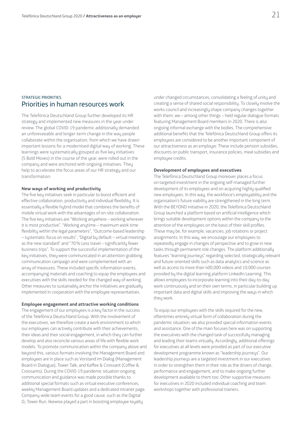### STRATEGIC PRIORITIES Priorities in human resources work

The Telefónica Deutschland Group further developed its HR strategy and implemented new measures in the year under review. The global COVID-19 pandemic additionally demanded an unforeseeable and longer-term change in the way people collaborate within the organisation, from which we have drawn important lessons for a modernised digital way of working. These learnings were systematically grouped as five key initiatives (5 Bold Moves) in the course of the year, were rolled out in the company and were anchored with ongoing initiatives. They help to accelerate the focus areas of our HR strategy and our transformation.

#### **New ways of working and productivity**

The five key initiatives seek in particular to boost efficient and effective collaboration, productivity and individual flexibility. It is essentially a flexible hybrid model that combines the benefits of mobile virtual work with the advantages of on-site collaboration. The five key initiatives are "Working anywhere – working wherever it is most productive", "Working anytime – maximum work time flexibility within the legal parameters", "Outcome-based leadership – systematic focus on results", "Digital by default – virtual meetings as the new standard" and "70% Less travel – significantly fewer business trips". To support the successful implementation of the key initiatives, they were communicated in an attention-grabbing communication campaign and were complemented with an array of measures. These included specific information events, accompanying materials and coaching to equip the employees and executives with the skills needed for the changed way of working. Other measures to sustainably anchor the initiatives are gradually implemented in cooperation with the employee representatives.

#### **Employee engagement and attractive working conditions**

The engagement of our employees is a key factor in the success of the Telefónica Deutschland Group. With the involvement of the executives, we therefore create a work environment to which our employees can actively contribute with their achievements, their ideas and their social engagement, in which they can further develop and also reconcile various areas of life with flexible work models. To promote communication within the company above and beyond this, various formats involving the Management Board and employees are in place such as Vorstand im Dialog (Management Board in Dialogue), Tower Talk, and Kaffee & Croissant (Coffee & Croissants). During the COVID-19 pandemic situation ongoing communication and guidance was made possible thanks to additional special formats such as virtual executive conferences, weekly Management Board updates and a dedicated intranet page. Company-wide team events for a good cause, such as the Digital O<sub>2</sub> Tower Run, likewise played a part in boosting employee loyalty

under changed circumstances, consolidating a feeling of unity and creating a sense of shared social responsibility. To closely involve the works council and increasingly shape company changes together with them, we – among other things – held regular dialogue formats featuring Management Board members in 2020. There is also ongoing informal exchange with the bodies. The comprehensive additional benefits that the Telefónica Deutschland Group offers its employees are considered to be another important component of our attractiveness as an employer. These include pension subsidies, discounts on public transport, insurance policies, meal subsidies and employee credits.

#### **Development of employees and executives**

The Telefónica Deutschland Group moreover places a focus on targeted investment in the ongoing self-managed further development of its employees and on acquiring highly qualified new employees. In this way, the workforce's employability and the organisation's future viability are strengthened in the long term. With the BEYOND initiative in 2020, the Telefónica Deutschland Group launched a platform based on artificial intelligence which brings suitable development options within the company to the attention of the employees on the basis of their skill profiles. These may be, for example, vacancies, job rotations or project assignments. In this way, we encourage our employees to repeatedly engage in changes of perspective and to grow in new tasks through permanent role changes. The platform additionally features "learning journeys" regarding selected, strategically relevant and future-oriented skills such as data analytics and science as well as access to more than 400,000 videos and 10,000 courses provided by the digital learning platform LinkedIn Learning. This allows employees to incorporate learning into their day-to-day work continuously and on their own terms, in particular building up important data and digital skills and improving the ways in which they work.

To equip our employees with the skills required for the new. oftentimes entirely virtual form of collaboration during the pandemic situation, we also provided special information events and assistance. One of the main focuses here was on supporting the executives with the changed task of successfully managing and leading their teams virtually. Accordingly, additional offerings for executives at all levels were provided as part of our executive development programme known as "leadership journeus". Our leadership journeus are a targeted investment in our executives in order to strengthen them in their role as the drivers of change, performance and engagement, and to make ongoing further development available to them too. Other supportive measures for executives in 2020 included individual coaching and team workshops together with professional trainers.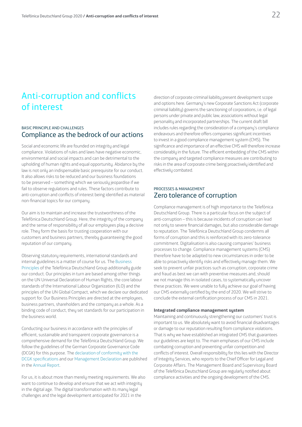## <span id="page-21-0"></span>Anti-corruption and conflicts of interest

### BASIC PRINCIPLE AND CHALLENGES Compliance as the bedrock of our actions

Social and economic life are founded on integrity and legal compliance. Violations of rules and laws have negative economic, environmental and social impacts and can be detrimental to the upholding of human rights and equal opportunity. Abidance by the law is not only an indispensable basic prerequisite for our conduct. It also allows risks to be reduced and our business foundations to be preserved – something which we seriously jeopardise if we fail to observe regulations and rules. These factors contribute to anti-corruption and conflicts of interest being identified as material non-financial topics for our company.

Our aim is to maintain and increase the trustworthiness of the Telefónica Deutschland Group. Here, the integrity of the company and the sense of responsibility of all our employees play a decisive role. They form the basis for trusting cooperation with our customers and business partners, thereby guaranteeing the good reputation of our company.

Observing statutory requirements, international standards and internal guidelines is a matter of course for us. The [Business](https://www.telefonica.de/geschaeftsgrundsaetze)  [Principles](https://www.telefonica.de/geschaeftsgrundsaetze) of the Telefónica Deutschland Group additionally guide our conduct. Our principles in turn are based among other things on the UN Universal Declaration of Human Rights, the core labour standards of the International Labour Organization (ILO) and the principles of the UN Global Compact, which we declare our dedicated support for. Our Business Principles are directed at the employees, business partners, shareholders and the company as a whole. As a binding code of conduct, they set standards for our participation in the business world.

Conducting our business in accordance with the principles of efficient, sustainable and transparent corporate governance is a comprehensive demand for the Telefónica Deutschland Group. We follow the guidelines of the German Corporate Governance Code (DCGK) for this purpose. The [declaration of conformity with the](https://www.telefonica.de/declaration-of-compliance)  [DCGK specifications](https://www.telefonica.de/declaration-of-compliance) and our [Management Declaration](https://www.telefonica.de/management-declaration) are published in the [Annual Report](https://www.telefonica.de/annualreport).

For us, it is about more than merely meeting requirements. We also want to continue to develop and ensure that we act with integrity in the digital age. The digital transformation with its many legal challenges and the legal development anticipated for 2021 in the

direction of corporate criminal liability present development scope and options here. Germany's new Corporate Sanctions Act (corporate criminal liability) governs the sanctioning of corporations, i.e. of legal persons under private and public law, associations without legal personality and incorporated partnerships. The current draft bill includes rules regarding the consideration of a company's compliance endeavours and therefore offers companies significant incentives to invest in a good compliance management system (CMS). The significance and importance of an effective CMS will therefore increase considerably in the future. The efficient embedding of the CMS within the company and targeted compliance measures are contributing to risks in the area of corporate crime being proactively identified and effectively combated.

### PROCESSES & MANAGEMENT Zero tolerance of corruption

Compliance management is of high importance to the Telefónica Deutschland Group. There is a particular focus on the subject of anti-corruption – this is because incidents of corruption can lead not only to severe financial damages, but also considerable damage to reputation. The Telefónica Deutschland Group condemns all forms of corruption and this is reinforced with its zero-tolerance commitment. Digitalisation is also causing companies' business processes to change. Compliance management systems (CMS) therefore have to be adapted to new circumstances in order to be able to proactively identify risks and effectively manage them. We seek to prevent unfair practices such as corruption, corporate crime and fraud as best we can with preventive measures and, should we not manage this in isolated cases, to systematically uncover these practices. We were unable to fully achieve our goal of having our CMS externally certified by the end of 2020. We will strive to conclude the external certification process of our CMS in 2021.

#### **Integrated compliance management system**

Maintaining and continuously strengthening our customers' trust is important to us. We absolutely want to avoid financial disadvantages or damage to our reputation resulting from compliance violations. That is why we have established an integrated CMS that guarantees our guidelines are kept to. The main emphases of our CMS include combating corruption and preventing unfair competition and conflicts of interest. Overall responsibility for this lies with the Director of Integrity Services, who reports to the Chief Officer for Legal and Corporate Affairs. The Management Board and Supervisory Board of the Telefónica Deutschland Group are regularly notified about compliance activities and the ongoing development of the CMS.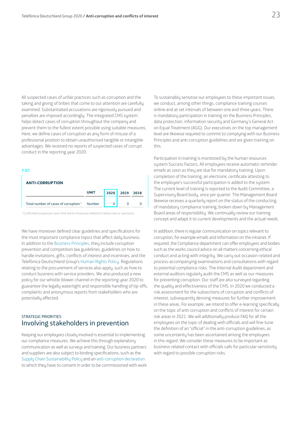All suspected cases of unfair practices such as corruption and the taking and giving of bribes that come to our attention are carefully examined. Substantiated accusations are rigorously pursued and penalties are imposed accordingly. The integrated CMS system helps detect cases of corruption throughout the company and prevent them to the fullest extent possible using suitable measures. Here, we define cases of corruption as any form of misuse of a professional position to obtain unauthorised tangible or intangible advantages. We received no reports of suspected cases of corrupt conduct in the reporting year 2020.

#### **T 07** Т

| <b>ANTI-CORRUPTION</b>                                  |             |      |      |      |
|---------------------------------------------------------|-------------|------|------|------|
|                                                         | <b>UNIT</b> | 2020 | 2019 | 2018 |
| Total number of cases of corruption <sup>1</sup> Number |             |      |      |      |

<sup>1</sup> Confirmed suspected cases that led to measures related to labour law or sanctions.

We have moreover defined clear guidelines and specifications for the most important compliance topics that affect daily business. In addition to the [Business Principles,](https://www.telefonica.de/geschaeftsgrundsaetze) they include corruption prevention and competition law guidelines, guidelines on how to handle invitations, gifts, conflicts of interest and incentives, and the Telefónica Deutschland Group's [Human Rights Policy.](https://www.telefonica.de/file/public/1016/26092019-Human-Rights-Policy-Telefonica-Deutschland-Group-english.pdf?attachment=1) Regulations relating to the procurement of services also apply, such as how to conduct business with service providers. We also produced a new policy for our whistle-blower channel in the reporting year 2020 to guarantee the legally watertight and responsible handling of tip-offs, complaints and anonymous reports from stakeholders who are potentially affected.

### STRATEGIC PRIORITIES Involving stakeholders in prevention

Keeping our employees closely involved is essential to implementing our compliance measures. We achieve this through explanatory communication as well as surveys and training. Our business partners and suppliers are also subject to binding specifications, such as the [Supply Chain Sustainability Policy](http://www.telefonica.de/supply-chain-sustainability-policy-en) and an [anti-corruption declaration](https://www.telefonica.de/richtlinie-zur-korruptionspraevention-en) to which they have to consent in order to be commissioned with work.

To sustainably sensitise our employees to these important issues, we conduct, among other things, compliance training courses online and at set intervals of between one and three years. There is mandatory participation in training on the Business Principles, data protection, information security and Germany's General Act on Equal Treatment (AGG). Our executives on the top management level are likewise required to commit to complying with our Business Principles and anti-corruption guidelines and are given training on this.

Participation in training is monitored by the human resources system Success Factors. All employees receive automatic reminder emails as soon as they are due for mandatory training. Upon completion of the training, an electronic certificate attesting to the employee's successful participation is added to the system. The current level of training is reported to the Audit Committee, a Supervisory Board body, once per quarter. The Management Board likewise receives a quarterly report on the status of the conducting of mandatory compliance training, broken down by Management Board areas of responsibility. We continually review our training concept and adapt it to current developments and the actual needs.

In addition, there is regular communication on topics relevant to corruption, for example emails and information on the intranet. If required, the Compliance department can offer employees and bodies such as the works council advice on all matters concerning ethical conduct and acting with integrity. We carry out occasion-related and process-accompanying examinations and consultations with regard to potential compliance risks. The Internal Audit department and external auditors regularly audit the CMS as well as our measures for preventing corruption. Our staff are also surveyed regarding the quality and effectiveness of the CMS. In 2020 we conducted a risk assessment for the subsections of corruption and conflicts of interest, subsequently deriving measures for further improvement in these areas. For example, we intend to offer e-learning specifically on the topic of anti-corruption and conflicts of interest for certain risk areas in 2021. We will additionally produce FAQ for all the employees on the topic of dealing with officials and will fine-tune the definition of an "official" in the anti-corruption guidelines, as some uncertainty has been ascertained among the employees in this regard. We consider these measures to be important as business-related contact with officials calls for particular sensitivity with regard to possible corruption risks.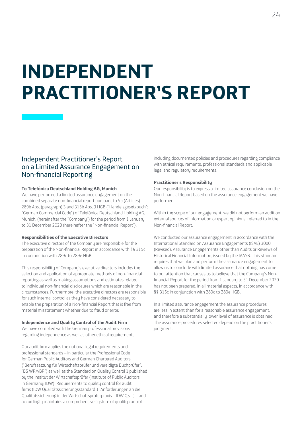# <span id="page-23-0"></span>**INDEPENDENT PRACTITIONER'S REPORT**

## Independent Practitioner's Report on a Limited Assurance Engagement on Non-financial Reporting

#### **To Telefónica Deutschland Holding AG, Munich**

We have performed a limited assurance engagement on the combined separate non-financial report pursuant to §§ (Articles) 289b Abs. (paragraph) 3 and 315b Abs. 3 HGB ("Handelsgesetzbuch": "German Commercial Code") of Telefónica Deutschland Holding AG, Munich, (hereinafter the "Company") for the period from 1 January to 31 December 2020 (hereinafter the "Non-financial Report").

#### **Responsibilities of the Executive Directors**

The executive directors of the Company are responsible for the preparation of the Non-financial Report in accordance with §§ 315c in conjunction with 289c to 289e HGB.

This responsibility of Company's executive directors includes the selection and application of appropriate methods of non-financial reporting as well as making assumptions and estimates related to individual non-financial disclosures which are reasonable in the circumstances. Furthermore, the executive directors are responsible for such internal control as they have considered necessary to enable the preparation of a Non-financial Report that is free from material misstatement whether due to fraud or error.

#### **Independence and Quality Control of the Audit Firm**

We have complied with the German professional provisions regarding independence as well as other ethical requirements.

Our audit firm applies the national legal requirements and professional standards – in particular the Professional Code for German Public Auditors and German Chartered Auditors ("Berufssatzung für Wirtschaftsprüfer und vereidigte Buchprüfer": "BS WP/vBP") as well as the Standard on Quality Control 1 published by the Institut der Wirtschaftsprüfer (Institute of Public Auditors in Germany; IDW): Requirements to quality control for audit firms (IDW Qualitätssicherungsstandard 1: Anforderungen an die Qualitätssicherung in der Wirtschaftsprüferpraxis – IDW QS 1) – and accordingly maintains a comprehensive system of quality control

including documented policies and procedures regarding compliance with ethical requirements, professional standards and applicable legal and regulatory requirements.

#### **Practitioner's Responsibility**

Our responsibility is to express a limited assurance conclusion on the Non-financial Report based on the assurance engagement we have performed.

Within the scope of our engagement, we did not perform an audit on external sources of information or expert opinions, referred to in the Non-financial Report.

We conducted our assurance engagement in accordance with the International Standard on Assurance Engagements (ISAE) 3000 (Revised): Assurance Engagements other than Audits or Reviews of Historical Financial Information, issued by the IAASB. This Standard requires that we plan and perform the assurance engagement to allow us to conclude with limited assurance that nothing has come to our attention that causes us to believe that the Company's Nonfinancial Report for the period from 1 January to 31 December 2020 has not been prepared, in all material aspects, in accordance with §§ 315c in conjunction with 289c to 289e HGB.

In a limited assurance engagement the assurance procedures are less in extent than for a reasonable assurance engagement, and therefore a substantially lower level of assurance is obtained. The assurance procedures selected depend on the practitioner's judgment.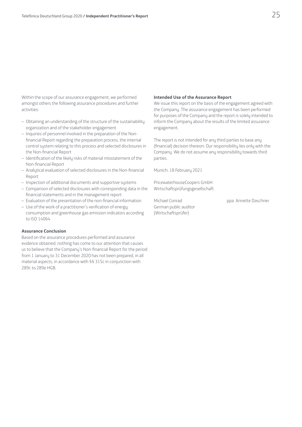Within the scope of our assurance engagement, we performed amongst others the following assurance procedures and further activities:

- Obtaining an understanding of the structure of the sustainability organization and of the stakeholder engagement
- Inquiries of personnel involved in the preparation of the Nonfinancial Report regarding the preparation process, the internal control system relating to this process and selected disclosures in the Non-financial Report
- Identification of the likely risks of material misstatement of the Non-financial Report
- Analytical evaluation of selected disclosures in the Non-financial Report
- Inspection of additional documents and supportive systems
- Comparison of selected disclosures with corresponding data in the financial statements and in the management report
- Evaluation of the presentation of the non-financial information
- Use of the work of a practitioner's verification of energy consumption and greenhouse gas emission indicators according to ISO 14064

#### **Assurance Conclusion**

Based on the assurance procedures performed and assurance evidence obtained, nothing has come to our attention that causes us to believe that the Company's Non-financial Report for the period from 1 January to 31 December 2020 has not been prepared, in all material aspects, in accordance with §§ 315c in conjunction with 289c to 289e HGB.

#### **Intended Use of the Assurance Report**

We issue this report on the basis of the engagement agreed with the Company. The assurance engagement has been performed for purposes of the Company and the report is solely intended to inform the Company about the results of the limited assurance engagement.

The report is not intended for any third parties to base any (financial) decision thereon. Our responsibility lies only with the Company. We do not assume any responsibility towards third parties.

Munich, 18 February 2021

PricewaterhouseCoopers GmbH Wirtschaftsprüfungsgesellschaft

German public auditor (Wirtschaftsprüfer)

Michael Conrad ppa. Annette Daschner